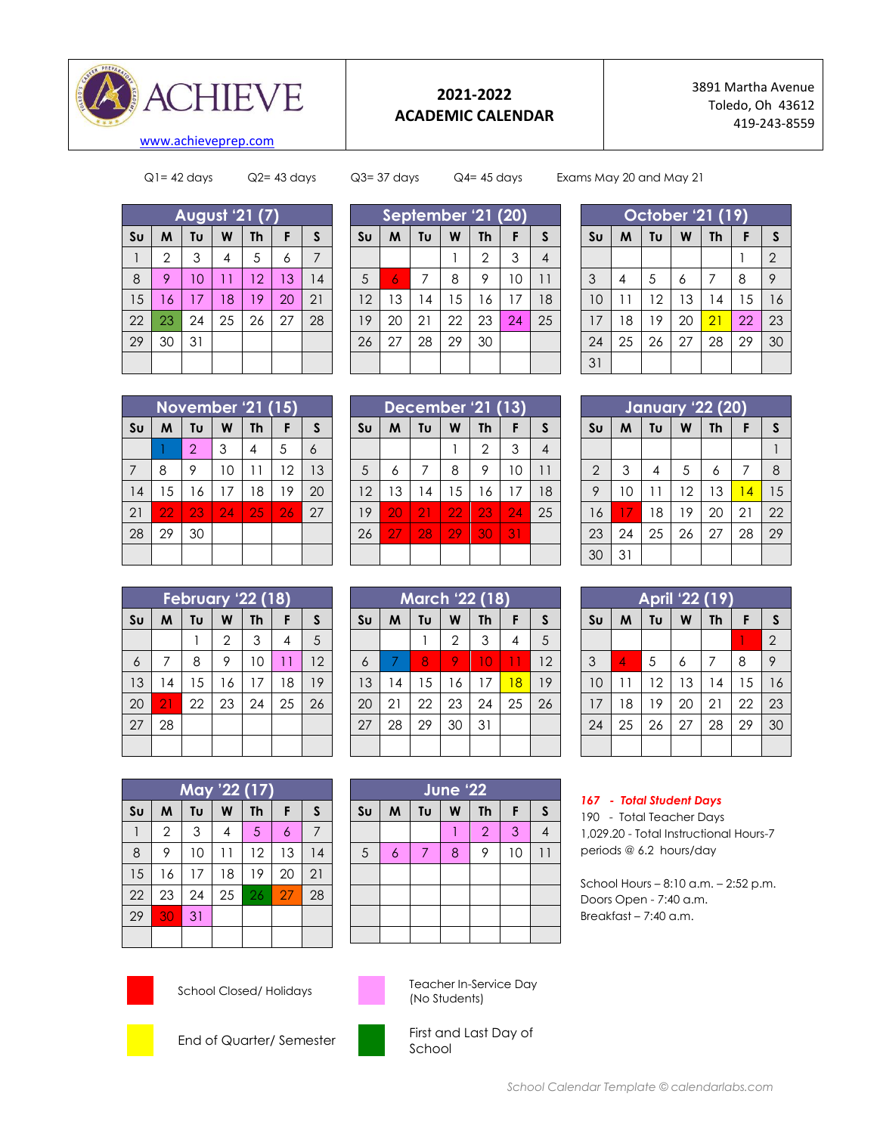

## **2021-2022 ACADEMIC CALENDAR**

3891 Martha Avenue Toledo, Oh 43612 419-243-8559

 $Q1 = 42$  days  $Q2 = 43$  days  $Q3 = 37$  days  $Q4 = 45$  days Exams May 20 and May 21

| <b>August '21 (7)</b> |                |    |                |           |    |    |  |  |
|-----------------------|----------------|----|----------------|-----------|----|----|--|--|
| S <sub>U</sub>        | M              | Tu | W              | <b>Th</b> | F  | S  |  |  |
|                       | $\overline{2}$ | 3  | $\overline{4}$ | 5         | 6  |    |  |  |
| 8                     | 9              | 10 | 11             | 12        | 13 | 14 |  |  |
| 15                    | 16             | 17 | 18             | 19        | 20 | 21 |  |  |
| 22                    | 23             | 24 | 25             | 26        | 27 | 28 |  |  |
| 29                    | 30             | 31 |                |           |    |    |  |  |
|                       |                |    |                |           |    |    |  |  |

|                | September '21 (20) |    |    |                |    |    |  |  |  |
|----------------|--------------------|----|----|----------------|----|----|--|--|--|
| S <sub>U</sub> | M                  | Tυ | W  | <b>Th</b>      | F  | S  |  |  |  |
|                |                    |    |    | $\overline{2}$ | 3  |    |  |  |  |
| 5              | 6                  | 7  | 8  | 9              | 10 | 11 |  |  |  |
| 12             | 13                 | 4  | 15 | 16             | 17 | 18 |  |  |  |
| 19             | 20                 | 21 | 22 | 23             | 24 | 25 |  |  |  |
| 26             | 27                 | 28 | 29 | 30             |    |    |  |  |  |
|                |                    |    |    |                |    |    |  |  |  |

| October '21 <sub>(19)</sub> |    |    |    |           |    |                |  |  |  |
|-----------------------------|----|----|----|-----------|----|----------------|--|--|--|
| S <sub>U</sub>              | M  | Tυ | W  | <b>Th</b> | F  | S              |  |  |  |
|                             |    |    |    |           |    | $\overline{2}$ |  |  |  |
| 3                           | 4  | 5  | 6  | 7         | 8  | 9              |  |  |  |
| 10                          | 11 | 12 | 13 | 14        | 15 | 16             |  |  |  |
| 17                          | 18 | 19 | 20 | 21        | 22 | 23             |  |  |  |
| 24                          | 25 | 26 | 27 | 28        | 29 | 30             |  |  |  |
| 31                          |    |    |    |           |    |                |  |  |  |

| <b>November '21 (15)</b> |    |                |    |           |    |    |  |  |
|--------------------------|----|----------------|----|-----------|----|----|--|--|
| S <sub>U</sub>           | M  | Tυ             | W  | <b>Th</b> | F  | S  |  |  |
|                          |    | $\overline{2}$ | 3  | 4         | 5  | 6  |  |  |
| 7                        | 8  | 9              | 10 | 11        | 12 | 13 |  |  |
| 14                       | 15 | 16             | 17 | 18        | 19 | 20 |  |  |
| 21                       | 22 | 23             | 24 | 25        | 26 | 27 |  |  |
| 28                       | 29 | 30             |    |           |    |    |  |  |
|                          |    |                |    |           |    |    |  |  |

| December '21 (13) |    |    |                 |                |    |    |  |  |  |
|-------------------|----|----|-----------------|----------------|----|----|--|--|--|
| S <sub>U</sub>    | M  | Tυ | W               | <b>Th</b>      | F  | S  |  |  |  |
|                   |    |    |                 | $\overline{2}$ | 3  |    |  |  |  |
| 5                 | 6  | 7  | 8               | 9              | 10 |    |  |  |  |
| 12                | 13 | 14 | 15              | 16             | 17 | 18 |  |  |  |
| 19                | 20 | 21 | $\overline{22}$ | 23             | 24 | 25 |  |  |  |
| 26                | 27 | 28 | 29              | 30             | 31 |    |  |  |  |
|                   |    |    |                 |                |    |    |  |  |  |

| January '22 (20) |    |    |    |           |    |    |  |  |  |
|------------------|----|----|----|-----------|----|----|--|--|--|
| S <sub>U</sub>   | M  | Tυ | W  | <b>Th</b> | F  | S  |  |  |  |
|                  |    |    |    |           |    |    |  |  |  |
| $\overline{2}$   | 3  | 4  | 5  | 6         | 7  | 8  |  |  |  |
| 9                | 10 | 11 | 12 | 13        | 14 | 15 |  |  |  |
| 16               | 17 | 18 | 19 | 20        | 21 | 22 |  |  |  |
| 23               | 24 | 25 | 26 | 27        | 28 | 29 |  |  |  |
| 30               | 31 |    |    |           |    |    |  |  |  |

| <b>February '22 (18)</b> |    |    |                |           |    |              |  |  |
|--------------------------|----|----|----------------|-----------|----|--------------|--|--|
| S <sub>U</sub>           | M  | Tu | W              | <b>Th</b> | F  | $\mathsf{s}$ |  |  |
|                          |    |    | $\overline{2}$ | 3         | 4  | 5            |  |  |
| 6                        | 7  | 8  | 9              | 10        | 11 | 12           |  |  |
| 13                       | 4  | 15 | 16             | 17        | 18 | 19           |  |  |
| 20                       | 21 | 22 | 23             | 24        | 25 | 26           |  |  |
| 27                       | 28 |    |                |           |    |              |  |  |
|                          |    |    |                |           |    |              |  |  |

| <b>March '22 (18)</b>  |    |    |              |           |    |    |  |  |
|------------------------|----|----|--------------|-----------|----|----|--|--|
| $\mathsf{S}\mathsf{u}$ | M  | Tυ | W            | <b>Th</b> | F  | S  |  |  |
|                        |    |    | $\mathbf{2}$ | 3         | 4  | 5  |  |  |
| $\ddot{\circ}$         | 7  | 8  | 9            | 10        | 11 | 12 |  |  |
| 13                     | 14 | 15 | 16           | 17        | 18 | 19 |  |  |
| 20                     | 21 | 22 | 23           | 24        | 25 | 26 |  |  |
| 27                     | 28 | 29 | 30           | 31        |    |    |  |  |
|                        |    |    |              |           |    |    |  |  |

| April '22 (19) |    |    |    |    |    |                |  |  |
|----------------|----|----|----|----|----|----------------|--|--|
| Su             | M  | Tυ | W  | Th | F  | S              |  |  |
|                |    |    |    |    |    | $\overline{2}$ |  |  |
| $\mathcal{S}$  | 4  | 5  | 6  | 7  | 8  | 9              |  |  |
| 10             | 11 | 12 | 13 | 14 | 15 | 16             |  |  |
| 17             | 18 | 19 | 20 | 21 | 22 | 23             |  |  |
| 24             | 25 | 26 | 27 | 28 | 29 | 30             |  |  |
|                |    |    |    |    |    |                |  |  |

| May '22 (17)   |                |    |                |    |    |    |  |  |
|----------------|----------------|----|----------------|----|----|----|--|--|
| S <sub>U</sub> | M              | Tυ | W              | Th | F  | S  |  |  |
|                | $\overline{2}$ | 3  | $\overline{4}$ | 5  | 6  | 7  |  |  |
| 8              | 9              | 10 | $\overline{1}$ | 12 | 13 | 4  |  |  |
| 15             | 16             | 17 | 18             | 19 | 20 | 21 |  |  |
| 22             | 23             | 24 | 25             | 26 | 27 | 28 |  |  |
| 29             | 30             | 31 |                |    |    |    |  |  |
|                |                |    |                |    |    |    |  |  |

| <b>June '22</b> |                |    |   |                |    |   |  |  |  |
|-----------------|----------------|----|---|----------------|----|---|--|--|--|
| S <sub>U</sub>  | M              | Tu | W | <b>Th</b>      | F  | S |  |  |  |
|                 |                |    |   | $\overline{2}$ | 3  |   |  |  |  |
| 5               | $\overline{6}$ | 7  | 8 | 9              | 10 |   |  |  |  |
|                 |                |    |   |                |    |   |  |  |  |
|                 |                |    |   |                |    |   |  |  |  |
|                 |                |    |   |                |    |   |  |  |  |
|                 |                |    |   |                |    |   |  |  |  |

## *167 - Total Student Days*

190 - Total Teacher Days 1,029.20 - Total Instructional Hours-7 periods @ 6.2 hours/day

School Hours – 8:10 a.m. – 2:52 p.m. Doors Open - 7:40 a.m. Breakfast – 7:40 a.m.





School Closed/ Holidays Teacher In-Service Day (No Students)





End of Quarter/ Semester First and Last Day of School